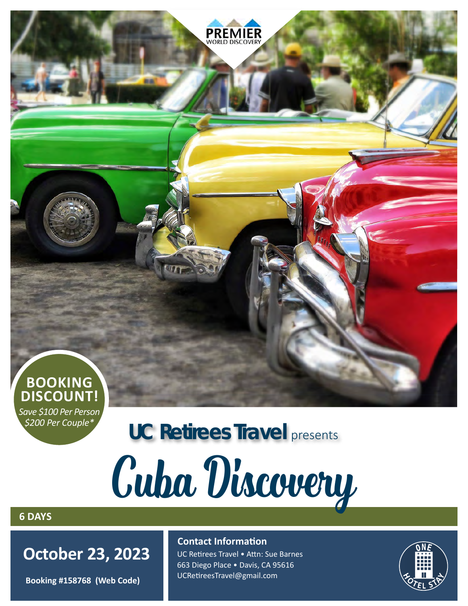

*Save \$100 Per Person \$200 Per Couple\**

# **UC Retirees Travel** presents

# Cuba Discovery

## **6 DAYS**

 **October 23, 2023**

**Booking #158768 (Web Code)**

## **Contact Information**

UC Retirees Travel • Attn: Sue Barnes 663 Diego Place • Davis, CA 95616 UCRetireesTravel@gmail.com

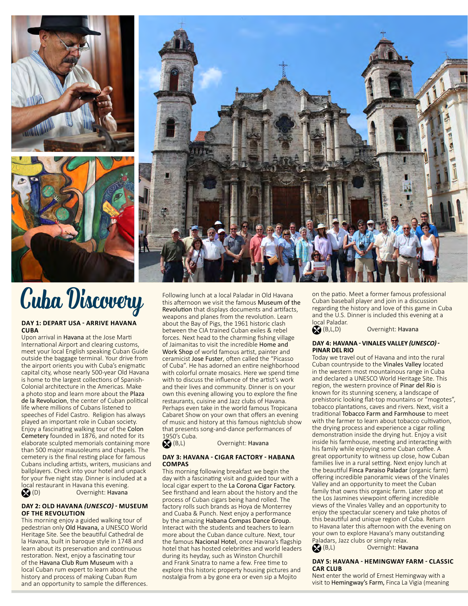





# **Cuba Discovery** Following lunch at a local Paladar in Old Havana

#### **DAY 1: DEPART USA - ARRIVE HAVANA CUBA**

Upon arrival in Havana at the Jose Marti International Airport and clearing customs, meet your local English speaking Cuban Guide outside the baggage terminal. Your drive from the airport orients you with Cuba's enigmatic capital city, whose nearly 500-year Old Havana is home to the largest collections of Spanish-Colonial architecture in the Americas. Make a photo stop and learn more about the Plaza de la Revolucion, the center of Cuban political life where millions of Cubans listened to speeches of Fidel Castro. Religion has always played an important role in Cuban society. Enjoy a fascinating walking tour of the Colon Cemetery founded in 1876, and noted for its elaborate sculpted memorials containing more than 500 major mausoleums and chapels. The cemetery is the final resting place for famous Cubans including artists, writers, musicians and ballplayers. Check into your hotel and unpack for your five night stay. Dinner is included at a local restaurant in Havana this evening. (D) Overnight: Havana

#### **DAY 2: OLD HAVANA** *(UNESCO)* **- MUSEUM OF THE REVOLUTION**

This morning enjoy a guided walking tour of pedestrian only Old Havana, a UNESCO World Heritage Site. See the beautiful Cathedral de la Havana, built in baroque style in 1748 and learn about its preservation and continuous restoration. Next, enjoy a fascinating tour of the Havana Club Rum Museum with a local Cuban rum expert to learn about the history and process of making Cuban Rum and an opportunity to sample the differences. this afternoon we visit the famous Museum of the Revolution that displays documents and artifacts, weapons and planes from the revolution. Learn about the Bay of Pigs, the 1961 historic clash between the CIA trained Cuban exiles & rebel forces. Next head to the charming fishing village of Jaimanitas to visit the incredible Home and Work Shop of world famous artist, painter and ceramicist Jose Fuster, often called the "Picasso of Cuba". He has adorned an entire neighborhood with colorful ornate mosaics. Here we spend time with to discuss the influence of the artist's work and their lives and community. Dinner is on your own this evening allowing you to explore the fine restaurants, cuisine and Jazz clubs of Havana. Perhaps even take in the world famous Tropicana Cabaret Show on your own that offers an evening of music and history at this famous nightclub show that presents song-and-dance performances of 1950's Cuba.<br>
(B,L)

#### Overnight: Havana

#### **DAY 3: HAVANA - CIGAR FACTORY - HABANA COMPAS**

This morning following breakfast we begin the day with a fascinating visit and guided tour with a local cigar expert to the La Corona Cigar Factory. See firsthand and learn about the history and the process of Cuban cigars being hand rolled. The factory rolls such brands as Hoya de Monterrey and Cuaba & Punch. Next enjoy a performance by the amazing Habana Compas Dance Group. Interact with the students and teachers to learn more about the Cuban dance culture. Next, tour the famous Nacional Hotel, once Havana's flagship hotel that has hosted celebrities and world leaders during its heyday, such as Winston Churchill and Frank Sinatra to name a few. Free time to explore this historic property housing pictures and nostalgia from a by gone era or even sip a Mojito

on the patio. Meet a former famous professional Cuban baseball player and join in a discussion regarding the history and love of this game in Cuba and the U.S. Dinner is included this evening at a local Paladar.<br>
(B,L,D)

Overnight: Havana

#### **DAY 4: HAVANA - VINALES VALLEY** *(UNESCO)* **- PINAR DEL RIO**

Today we travel out of Havana and into the rural Cuban countryside to the Vinales Valley located in the western most mountainous range in Cuba and declared a UNESCO World Heritage Site. This region, the western province of Pinar del Rio is known for its stunning scenery, a landscape of prehistoric looking flat-top mountains or "mogotes", tobacco plantations, caves and rivers. Next, visit a traditional Tobacco Farm and Farmhouse to meet with the farmer to learn about tobacco cultivation, the drying process and experience a cigar rolling demonstration inside the drying hut. Enjoy a visit inside his farmhouse, meeting and interacting with his family while enjoying some Cuban coffee. A great opportunity to witness up close, how Cuban families live in a rural setting. Next enjoy lunch at the beautiful Finca Paraiso Paladar (organic farm) offering incredible panoramic views of the Vinales Valley and an opportunity to meet the Cuban family that owns this organic farm. Later stop at the Los Jasmines viewpoint offering incredible views of the Vinales Valley and an opportunity to enjoy the spectacular scenery and take photos of this beautiful and unique region of Cuba. Return to Havana later this afternoon with the evening on your own to explore Havana's many outstanding Paladars, Jazz clubs or simply relax.<br> **(B,L)** Overnight: Hav

Overnight: Havana

#### **DAY 5: HAVANA - HEMINGWAY FARM - CLASSIC CAR CLUB**

Next enter the world of Ernest Hemingway with a visit to Hemingway's Farm, Finca La Vigia (meaning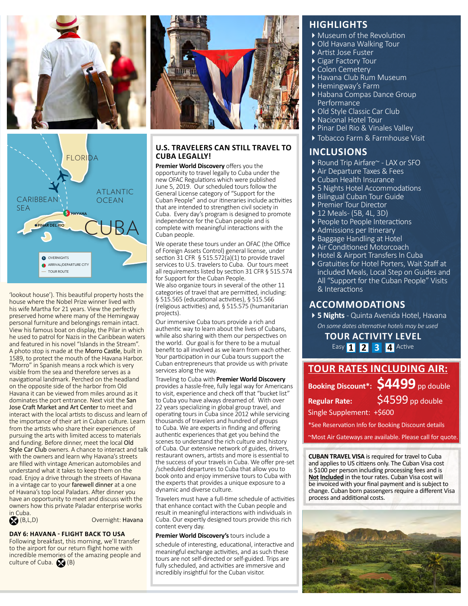



'lookout house'). This beautiful property hosts the house where the Nobel Prize winner lived with his wife Martha for 21 years. View the perfectly preserved home where many of the Hemingway personal furniture and belongings remain intact. View his famous boat on display, the Pilar in which he used to patrol for Nazis in the Caribbean waters and featured in his novel "Islands in the Stream". A photo stop is made at the Morro Castle, built in 1589, to protect the mouth of the Havana Harbor. "Morro" in Spanish means a rock which is very visible from the sea and therefore serves as a navigational landmark. Perched on the headland on the opposite side of the harbor from Old Havana it can be viewed from miles around as it dominates the port entrance. Next visit the San Jose Craft Market and Art Center to meet and interact with the local artists to discuss and learn of the importance of their art in Cuban culture. Learn from the artists who share their experiences of pursuing the arts with limited access to materials and funding. Before dinner, meet the local Old Style Car Club owners. A chance to interact and talk with the owners and learn why Havana's streets are filled with vintage American automobiles and understand what it takes to keep them on the road. Enjoy a drive through the streets of Havana in a vintage car to your farewell dinner at a one of Havana's top local Paladars. After dinner you have an opportunity to meet and discuss with the owners how this private Paladar enterprise works

in Cuba.<br>
(B,L,D)

Overnight: Havana

#### **DAY 6: HAVANA - FLIGHT BACK TO USA**

Following breakfast, this morning, we'll transfer to the airport for our return flight home with incredible memories of the amazing people and culture of Cuba.  $\bigotimes$  (B)



#### **U.S. TRAVELERS CAN STILL TRAVEL TO CUBA LEGALLY!**

**Premier World Discovery** offers you the opportunity to travel legally to Cuba under the new OFAC Regulations which were published June 5, 2019. Our scheduled tours follow the General License category of "Support for the Cuban People" and our itineraries include activities that are intended to strengthen civil society in Cuba. Every day's program is designed to promote independence for the Cuban people and is complete with meaningful interactions with the Cuban people.

We operate these tours under an OFAC (the Office of Foreign Assets Control) general license, under section 31 CFR  $\S$  515.572(a)(1) to provide travel services to U.S. travelers to Cuba. Our tours meet all requirements listed by section 31 CFR § 515.574 for Support for the Cuban People. We also organize tours in several of the other 11

categories of travel that are permitted, including: § 515.565 (educational activities), § 515.566 (religious activities) and, § 515.575 (humanitarian projects).

Our immersive Cuba tours provide a rich and authentic way to learn about the lives of Cubans, while also sharing with them our perspectives on the world. Our goal is for there to be a mutual benefit to all involved as we learn from each other. Your participation in our Cuba tours support the Cuban entrepreneurs that provide us with private services along the way.

Traveling to Cuba with **Premier World Discovery** provides a hassle-free, fully legal way for Americans to visit, experience and check off that "bucket list" to Cuba you have always dreamed of. With over 22 years specializing in global group travel, and operating tours in Cuba since 2012 while servicing thousands of travelers and hundred of groups to Cuba. We are experts in finding and offering authentic experiences that get you behind the scenes to understand the rich culture and history of Cuba. Our extensive network of guides, drivers, restaurant owners, artists and more is essential to the success of your travels in Cuba. We offer pre-set /scheduled departures to Cuba that allow you to book onto and enjoy immersive tours to Cuba with the experts that provides a unique exposure to a dynamic and diverse culture.

Travelers must have a full-time schedule of activities that enhance contact with the Cuban people and result in meaningful interactions with individuals in Cuba. Our expertly designed tours provide this rich content every day.

#### **Premier World Discovery's** tours include a

schedule of interesting, educational, interactive and meaningful exchange activities, and as such these tours are not self-directed or self-guided. Trips are fully scheduled, and activities are immersive and incredibly insightful for the Cuban visitor.

#### **HIGHLIGHTS**

- Museum of the Revolution
- ▶ Old Havana Walking Tour
- Artist Jose Fuster
- ▶ Cigar Factory Tour
- Colon Cemetery
- Havana Club Rum Museum
- ▶ Hemingway's Farm
- Habana Compas Dance Group Performance
- ▶ Old Style Classic Car Club
- Nacional Hotel Tour
- Pinar Del Rio & Vinales Valley
- Tobacco Farm & Farmhouse Visit

#### **INCLUSIONS**

- ▶ Round Trip Airfare~ LAX or SFO
- Air Departure Taxes & Fees
- Cuban Health Insurance
- ▶ 5 Nights Hotel Accommodations
- ▶ Bilingual Cuban Tour Guide
- 
- Premier Tour Director 12 Meals- (5B, 4L, 3D)
- ▶ People to People Interactions
- Admissions per Itinerary
- ▶ Baggage Handling at Hotel
- Air Conditioned Motorcoach
- Hotel & Airport Transfers In Cuba
- Gratuities for Hotel Porters, Wait Staff at included Meals, Local Step on Guides and All "Support for the Cuban People" Visits & Interactions

### **ACCOMMODATIONS**

**5 Nights** - Quinta Avenida Hotel, Havana *On some dates alternative hotels may be used*

**TOUR ACTIVITY LEVEL** Easy **1 2 3 4** Active

| <b>TOUR RATES INCLUDING AIR:</b> |                                     |
|----------------------------------|-------------------------------------|
|                                  | Booking Discount*: \$4499 pp double |
| <b>Regular Rate:</b>             | $S\overline{4599}$ pp double        |
| Single Supplement: +\$600        |                                     |

\*See Reservation Info for Booking Discount details

~Most Air Gateways are available. Please call for quote.

**CUBAN TRAVEL VISA** is required for travel to Cuba and applies to US citizens only. The Cuban Visa cost is \$100 per person including processing fees and is **Not Included** in the tour rates. Cuban Visa cost will be invoiced with your final payment and is subject to change. Cuban born passengers require a different Visa process and additional costs.